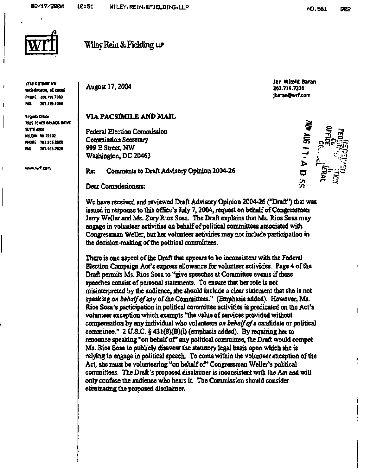

**1776 K STREET NW WASHINGTON. OC SOOOfi PHONE [202.71S.7000](http://202.71S.7000) FAX 202.719.7049** 

-f

-1

 $\mathbf{I}$ 

**Virginia Office 792& 30NES BRANCH OIIVE SUITE «200 MCLEAN, VA 22102 PHONE 703.90S.2B00 FAX 703.905.2820** 

**[www.wrf.coii](http://www.wrf.coii)** 

**Wiley Rein & Fielding we** 

**August 17,2004** 

## **VTA FACSIMILE AND MAIL**

**Federal Election Commission Commission Secretary 999 E Street, NW Washington, DC 20463** 

**Re: Comments to Draft Advisory Opinion 2004-26** 

**Dear Commissioners:** 

**We have received and reviewed Draft Advisory Opinion 2004-26 ("Draft") that was issued in response to this office's July 7,2004, request on behalf of Congressman Jerry Weller and Ms. Zury Rios Sosa. The Draft explains that Ms. Rios Sosa may engage in volunteer activities on behalf of political committees associated with Congressman Weller, but her volunteer activities may not include participation in the decision-making of the political committees.** 

**There is one aspect of the Draft that appears to be inconsistent with the Federal Election Campaign Act's express allowance for volunteer activities. Page 4 of the Draft permits Ms. Rios Sosa to "give speeches at Committee events if these speeches consist of persona] statements. To ensure that her role is not misinterpreted by the audience, she should include a clear statement that she is not speaking** *on behalf of my* **of the Committees." (Emphasis added). However, Ms. Rios Sosa's participation in political committee activities is predicated on the Act's volunteer exception which exempts "the value of services provided without compensation by any individual who volunteers** *on behalf of* **a candidate or political committee." 2 U.S.C. § 431 (8)(B)(i) (emphasis added). By requiring her to renounce speaking "on behalf of' any political committee, the Draft would compel Ms. Rios Sosa to publicly disavow the statutory legal basis upon which she is relying to engage in political speech. To come within the volunteer exception of the**  Act, she must be volunteering "on behalf of" Congressman Weller's political **committees. The Draft's proposed disclaimer is inconsistent with the Act and will only confuse the audience who hears it. The Commission should consider eliminating the proposed disclaimer.** 

**Jan Witold Baran 202.719.7330 [jbaran@wrf.com](mailto:jbaran@wrf.com)**